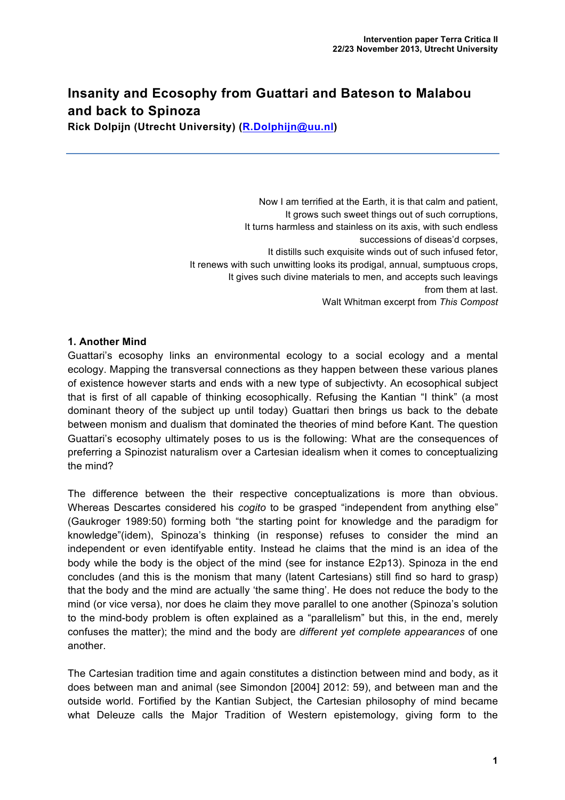## **Insanity and Ecosophy from Guattari and Bateson to Malabou and back to Spinoza**

**Rick Dolpijn (Utrecht University) (R.Dolphijn@uu.nl)**

Now I am terrified at the Earth, it is that calm and patient, It grows such sweet things out of such corruptions, It turns harmless and stainless on its axis, with such endless successions of diseas'd corpses, It distills such exquisite winds out of such infused fetor, It renews with such unwitting looks its prodigal, annual, sumptuous crops, It gives such divine materials to men, and accepts such leavings from them at last. Walt Whitman excerpt from *This Compost*

## **1. Another Mind**

Guattari's ecosophy links an environmental ecology to a social ecology and a mental ecology. Mapping the transversal connections as they happen between these various planes of existence however starts and ends with a new type of subjectivty. An ecosophical subject that is first of all capable of thinking ecosophically. Refusing the Kantian "I think" (a most dominant theory of the subject up until today) Guattari then brings us back to the debate between monism and dualism that dominated the theories of mind before Kant. The question Guattari's ecosophy ultimately poses to us is the following: What are the consequences of preferring a Spinozist naturalism over a Cartesian idealism when it comes to conceptualizing the mind?

The difference between the their respective conceptualizations is more than obvious. Whereas Descartes considered his *cogito* to be grasped "independent from anything else" (Gaukroger 1989:50) forming both "the starting point for knowledge and the paradigm for knowledge"(idem), Spinoza's thinking (in response) refuses to consider the mind an independent or even identifyable entity. Instead he claims that the mind is an idea of the body while the body is the object of the mind (see for instance E2p13). Spinoza in the end concludes (and this is the monism that many (latent Cartesians) still find so hard to grasp) that the body and the mind are actually 'the same thing'. He does not reduce the body to the mind (or vice versa), nor does he claim they move parallel to one another (Spinoza's solution to the mind-body problem is often explained as a "parallelism" but this, in the end, merely confuses the matter); the mind and the body are *different yet complete appearances* of one another.

The Cartesian tradition time and again constitutes a distinction between mind and body, as it does between man and animal (see Simondon [2004] 2012: 59), and between man and the outside world. Fortified by the Kantian Subject, the Cartesian philosophy of mind became what Deleuze calls the Major Tradition of Western epistemology, giving form to the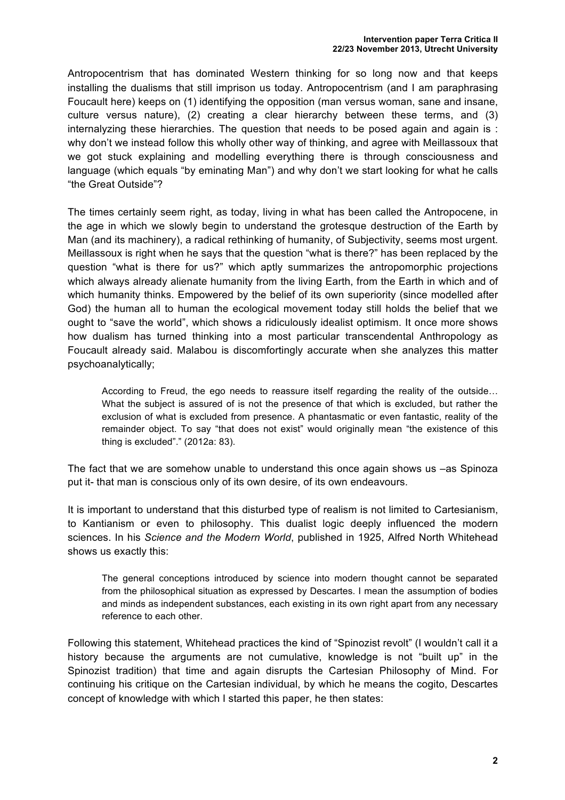Antropocentrism that has dominated Western thinking for so long now and that keeps installing the dualisms that still imprison us today. Antropocentrism (and I am paraphrasing Foucault here) keeps on (1) identifying the opposition (man versus woman, sane and insane, culture versus nature), (2) creating a clear hierarchy between these terms, and (3) internalyzing these hierarchies. The question that needs to be posed again and again is : why don't we instead follow this wholly other way of thinking, and agree with Meillassoux that we got stuck explaining and modelling everything there is through consciousness and language (which equals "by eminating Man") and why don't we start looking for what he calls "the Great Outside"?

The times certainly seem right, as today, living in what has been called the Antropocene, in the age in which we slowly begin to understand the grotesque destruction of the Earth by Man (and its machinery), a radical rethinking of humanity, of Subjectivity, seems most urgent. Meillassoux is right when he says that the question "what is there?" has been replaced by the question "what is there for us?" which aptly summarizes the antropomorphic projections which always already alienate humanity from the living Earth, from the Earth in which and of which humanity thinks. Empowered by the belief of its own superiority (since modelled after God) the human all to human the ecological movement today still holds the belief that we ought to "save the world", which shows a ridiculously idealist optimism. It once more shows how dualism has turned thinking into a most particular transcendental Anthropology as Foucault already said. Malabou is discomfortingly accurate when she analyzes this matter psychoanalytically;

According to Freud, the ego needs to reassure itself regarding the reality of the outside… What the subject is assured of is not the presence of that which is excluded, but rather the exclusion of what is excluded from presence. A phantasmatic or even fantastic, reality of the remainder object. To say "that does not exist" would originally mean "the existence of this thing is excluded"." (2012a: 83).

The fact that we are somehow unable to understand this once again shows us –as Spinoza put it- that man is conscious only of its own desire, of its own endeavours.

It is important to understand that this disturbed type of realism is not limited to Cartesianism, to Kantianism or even to philosophy. This dualist logic deeply influenced the modern sciences. In his *Science and the Modern World*, published in 1925, Alfred North Whitehead shows us exactly this:

The general conceptions introduced by science into modern thought cannot be separated from the philosophical situation as expressed by Descartes. I mean the assumption of bodies and minds as independent substances, each existing in its own right apart from any necessary reference to each other.

Following this statement, Whitehead practices the kind of "Spinozist revolt" (I wouldn't call it a history because the arguments are not cumulative, knowledge is not "built up" in the Spinozist tradition) that time and again disrupts the Cartesian Philosophy of Mind. For continuing his critique on the Cartesian individual, by which he means the cogito, Descartes concept of knowledge with which I started this paper, he then states: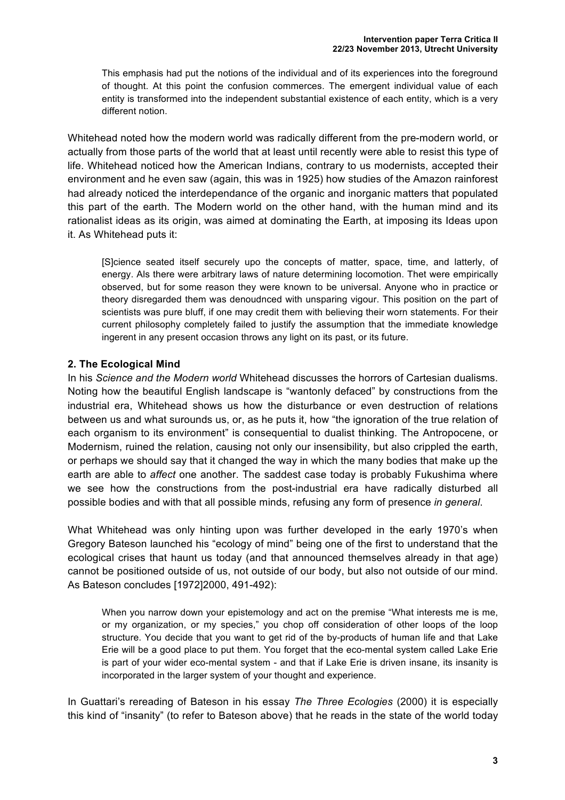This emphasis had put the notions of the individual and of its experiences into the foreground of thought. At this point the confusion commerces. The emergent individual value of each entity is transformed into the independent substantial existence of each entity, which is a very different notion.

Whitehead noted how the modern world was radically different from the pre-modern world, or actually from those parts of the world that at least until recently were able to resist this type of life. Whitehead noticed how the American Indians, contrary to us modernists, accepted their environment and he even saw (again, this was in 1925) how studies of the Amazon rainforest had already noticed the interdependance of the organic and inorganic matters that populated this part of the earth. The Modern world on the other hand, with the human mind and its rationalist ideas as its origin, was aimed at dominating the Earth, at imposing its Ideas upon it. As Whitehead puts it:

[S]cience seated itself securely upo the concepts of matter, space, time, and latterly, of energy. Als there were arbitrary laws of nature determining locomotion. Thet were empirically observed, but for some reason they were known to be universal. Anyone who in practice or theory disregarded them was denoudnced with unsparing vigour. This position on the part of scientists was pure bluff, if one may credit them with believing their worn statements. For their current philosophy completely failed to justify the assumption that the immediate knowledge ingerent in any present occasion throws any light on its past, or its future.

## **2. The Ecological Mind**

In his *Science and the Modern world* Whitehead discusses the horrors of Cartesian dualisms. Noting how the beautiful English landscape is "wantonly defaced" by constructions from the industrial era, Whitehead shows us how the disturbance or even destruction of relations between us and what surounds us, or, as he puts it, how "the ignoration of the true relation of each organism to its environment" is consequential to dualist thinking. The Antropocene, or Modernism, ruined the relation, causing not only our insensibility, but also crippled the earth, or perhaps we should say that it changed the way in which the many bodies that make up the earth are able to *affect* one another. The saddest case today is probably Fukushima where we see how the constructions from the post-industrial era have radically disturbed all possible bodies and with that all possible minds, refusing any form of presence *in general*.

What Whitehead was only hinting upon was further developed in the early 1970's when Gregory Bateson launched his "ecology of mind" being one of the first to understand that the ecological crises that haunt us today (and that announced themselves already in that age) cannot be positioned outside of us, not outside of our body, but also not outside of our mind. As Bateson concludes [1972]2000, 491-492):

When you narrow down your epistemology and act on the premise "What interests me is me, or my organization, or my species," you chop off consideration of other loops of the loop structure. You decide that you want to get rid of the by-products of human life and that Lake Erie will be a good place to put them. You forget that the eco-mental system called Lake Erie is part of your wider eco-mental system - and that if Lake Erie is driven insane, its insanity is incorporated in the larger system of your thought and experience.

In Guattari's rereading of Bateson in his essay *The Three Ecologies* (2000) it is especially this kind of "insanity" (to refer to Bateson above) that he reads in the state of the world today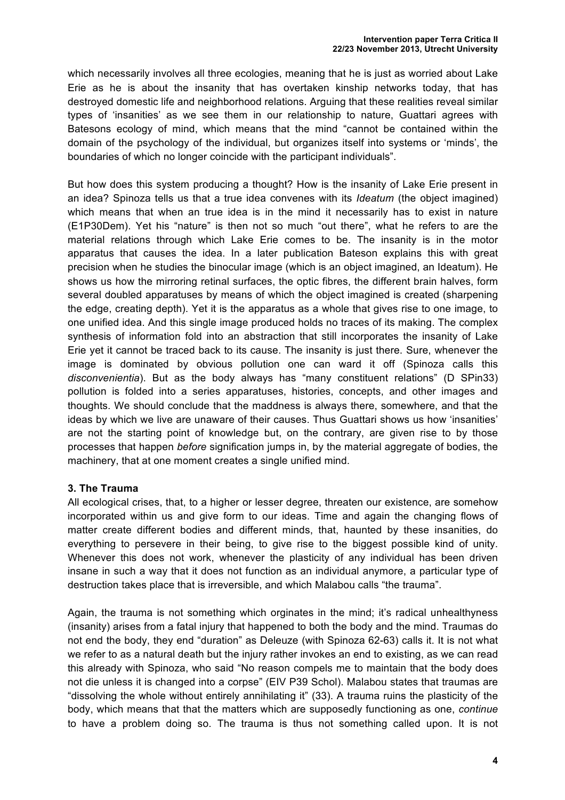which necessarily involves all three ecologies, meaning that he is just as worried about Lake Erie as he is about the insanity that has overtaken kinship networks today, that has destroyed domestic life and neighborhood relations. Arguing that these realities reveal similar types of 'insanities' as we see them in our relationship to nature, Guattari agrees with Batesons ecology of mind, which means that the mind "cannot be contained within the domain of the psychology of the individual, but organizes itself into systems or 'minds', the boundaries of which no longer coincide with the participant individuals".

But how does this system producing a thought? How is the insanity of Lake Erie present in an idea? Spinoza tells us that a true idea convenes with its *Ideatum* (the object imagined) which means that when an true idea is in the mind it necessarily has to exist in nature (E1P30Dem). Yet his "nature" is then not so much "out there", what he refers to are the material relations through which Lake Erie comes to be. The insanity is in the motor apparatus that causes the idea. In a later publication Bateson explains this with great precision when he studies the binocular image (which is an object imagined, an Ideatum). He shows us how the mirroring retinal surfaces, the optic fibres, the different brain halves, form several doubled apparatuses by means of which the object imagined is created (sharpening the edge, creating depth). Yet it is the apparatus as a whole that gives rise to one image, to one unified idea. And this single image produced holds no traces of its making. The complex synthesis of information fold into an abstraction that still incorporates the insanity of Lake Erie yet it cannot be traced back to its cause. The insanity is just there. Sure, whenever the image is dominated by obvious pollution one can ward it off (Spinoza calls this *disconvenientia*). But as the body always has "many constituent relations" (D SPin33) pollution is folded into a series apparatuses, histories, concepts, and other images and thoughts. We should conclude that the maddness is always there, somewhere, and that the ideas by which we live are unaware of their causes. Thus Guattari shows us how 'insanities' are not the starting point of knowledge but, on the contrary, are given rise to by those processes that happen *before* signification jumps in, by the material aggregate of bodies, the machinery, that at one moment creates a single unified mind.

## **3. The Trauma**

All ecological crises, that, to a higher or lesser degree, threaten our existence, are somehow incorporated within us and give form to our ideas. Time and again the changing flows of matter create different bodies and different minds, that, haunted by these insanities, do everything to persevere in their being, to give rise to the biggest possible kind of unity. Whenever this does not work, whenever the plasticity of any individual has been driven insane in such a way that it does not function as an individual anymore, a particular type of destruction takes place that is irreversible, and which Malabou calls "the trauma".

Again, the trauma is not something which orginates in the mind; it's radical unhealthyness (insanity) arises from a fatal injury that happened to both the body and the mind. Traumas do not end the body, they end "duration" as Deleuze (with Spinoza 62-63) calls it. It is not what we refer to as a natural death but the injury rather invokes an end to existing, as we can read this already with Spinoza, who said "No reason compels me to maintain that the body does not die unless it is changed into a corpse" (EIV P39 Schol). Malabou states that traumas are "dissolving the whole without entirely annihilating it" (33). A trauma ruins the plasticity of the body, which means that that the matters which are supposedly functioning as one, *continue*  to have a problem doing so. The trauma is thus not something called upon. It is not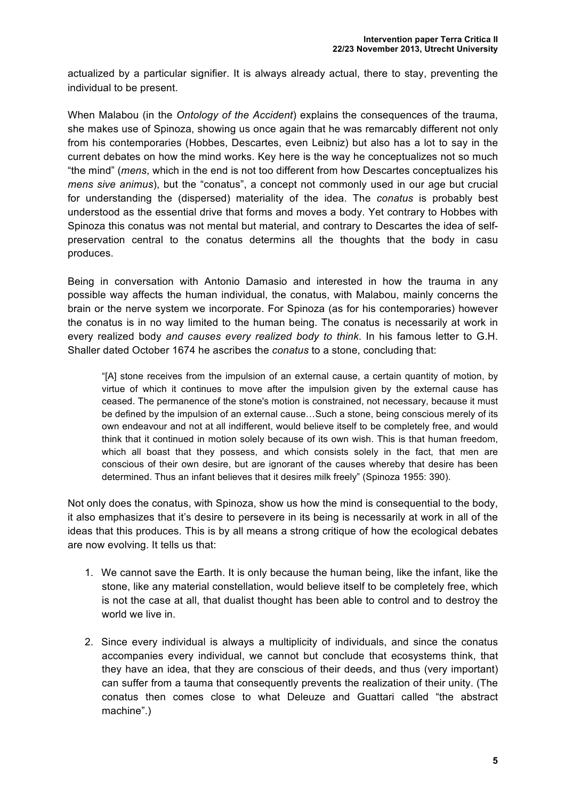actualized by a particular signifier. It is always already actual, there to stay, preventing the individual to be present.

When Malabou (in the *Ontology of the Accident*) explains the consequences of the trauma, she makes use of Spinoza, showing us once again that he was remarcably different not only from his contemporaries (Hobbes, Descartes, even Leibniz) but also has a lot to say in the current debates on how the mind works. Key here is the way he conceptualizes not so much "the mind" (*mens*, which in the end is not too different from how Descartes conceptualizes his *mens sive animus*), but the "conatus", a concept not commonly used in our age but crucial for understanding the (dispersed) materiality of the idea. The *conatus* is probably best understood as the essential drive that forms and moves a body. Yet contrary to Hobbes with Spinoza this conatus was not mental but material, and contrary to Descartes the idea of selfpreservation central to the conatus determins all the thoughts that the body in casu produces.

Being in conversation with Antonio Damasio and interested in how the trauma in any possible way affects the human individual, the conatus, with Malabou, mainly concerns the brain or the nerve system we incorporate. For Spinoza (as for his contemporaries) however the conatus is in no way limited to the human being. The conatus is necessarily at work in every realized body *and causes every realized body to think*. In his famous letter to G.H. Shaller dated October 1674 he ascribes the *conatus* to a stone, concluding that:

"[A] stone receives from the impulsion of an external cause, a certain quantity of motion, by virtue of which it continues to move after the impulsion given by the external cause has ceased. The permanence of the stone's motion is constrained, not necessary, because it must be defined by the impulsion of an external cause…Such a stone, being conscious merely of its own endeavour and not at all indifferent, would believe itself to be completely free, and would think that it continued in motion solely because of its own wish. This is that human freedom, which all boast that they possess, and which consists solely in the fact, that men are conscious of their own desire, but are ignorant of the causes whereby that desire has been determined. Thus an infant believes that it desires milk freely" (Spinoza 1955: 390).

Not only does the conatus, with Spinoza, show us how the mind is consequential to the body, it also emphasizes that it's desire to persevere in its being is necessarily at work in all of the ideas that this produces. This is by all means a strong critique of how the ecological debates are now evolving. It tells us that:

- 1. We cannot save the Earth. It is only because the human being, like the infant, like the stone, like any material constellation, would believe itself to be completely free, which is not the case at all, that dualist thought has been able to control and to destroy the world we live in.
- 2. Since every individual is always a multiplicity of individuals, and since the conatus accompanies every individual, we cannot but conclude that ecosystems think, that they have an idea, that they are conscious of their deeds, and thus (very important) can suffer from a tauma that consequently prevents the realization of their unity. (The conatus then comes close to what Deleuze and Guattari called "the abstract machine".)